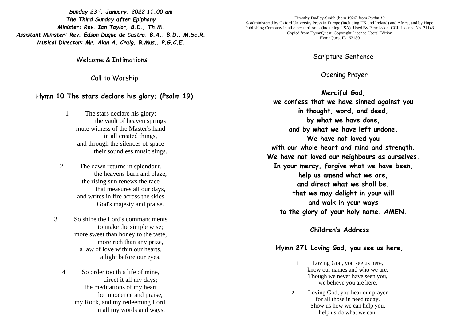*Sunday 23rd . January, 2022 11.00 am The Third Sunday after Epiphany Minister: Rev. Ian Taylor, B.D., Th.M. Assistant Minister: Rev. Edson Duque de Castro, B.A., B.D., M.Sc.R. Musical Director: Mr. Alan A. Craig. B.Mus., P.G.C.E.*

Welcome & Intimations

Call to Worship

## **Hymn 10 The stars declare his glory; (Psalm 19)**

1 The stars declare his glory; the vault of heaven springs mute witness of the Master's hand in all created things, and through the silences of space their soundless music sings.

- 2 The dawn returns in splendour, the heavens burn and blaze, the rising sun renews the race that measures all our days, and writes in fire across the skies God's majesty and praise.
- 3 So shine the Lord's commandments to make the simple wise; more sweet than honey to the taste, more rich than any prize, a law of love within our hearts, a light before our eyes.

4 So order too this life of mine, direct it all my days; the meditations of my heart be innocence and praise, my Rock, and my redeeming Lord, in all my words and ways.

Timothy Dudley-Smith (born 1926) from *Psalm 19*  © administered by Oxford University Press in Europe (including UK and Ireland) and Africa, and by Hope Publishing Company in all other territories (including USA) Used By Permission. CCL Licence No. 21143 Copied from HymnQuest: Copyright Licence Users' Edition HymnQuest ID: 62180

Scripture Sentence

Opening Prayer

**Merciful God, we confess that we have sinned against you in thought, word, and deed, by what we have done, and by what we have left undone. We have not loved you with our whole heart and mind and strength. We have not loved our neighbours as ourselves. In your mercy, forgive what we have been, help us amend what we are, and direct what we shall be, that we may delight in your will and walk in your ways to the glory of your holy name. AMEN.**

## **Children's Address**

## **Hymn 271 Loving God, you see us here,**

- 1 Loving God, you see us here, know our names and who we are. Though we never have seen you, we believe you are here.
- 2 Loving God, you hear our prayer for all those in need today. Show us how we can help you, help us do what we can.